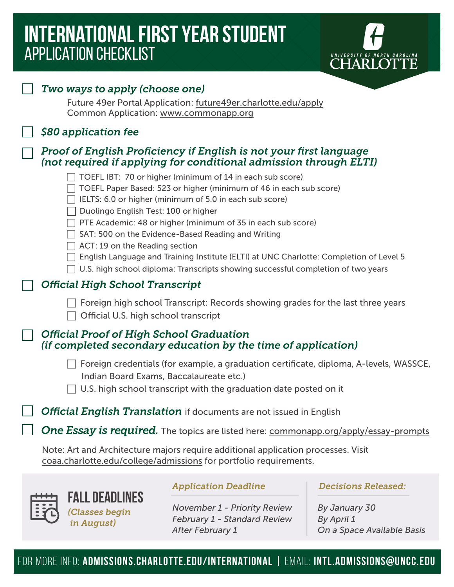# **international first year STUDENT**  application checklist



|  | Two ways to apply (choose one)<br>Future 49er Portal Application: future49er.charlotte.edu/apply                                                                                                                                                                                                                                                                                                                                                                                                                                                                         |                                                                                                                               |                                                                                                |  |
|--|--------------------------------------------------------------------------------------------------------------------------------------------------------------------------------------------------------------------------------------------------------------------------------------------------------------------------------------------------------------------------------------------------------------------------------------------------------------------------------------------------------------------------------------------------------------------------|-------------------------------------------------------------------------------------------------------------------------------|------------------------------------------------------------------------------------------------|--|
|  | Common Application: www.commonapp.org                                                                                                                                                                                                                                                                                                                                                                                                                                                                                                                                    |                                                                                                                               |                                                                                                |  |
|  | \$80 application fee                                                                                                                                                                                                                                                                                                                                                                                                                                                                                                                                                     |                                                                                                                               |                                                                                                |  |
|  | Proof of English Proficiency if English is not your first language<br>(not required if applying for conditional admission through ELTI)                                                                                                                                                                                                                                                                                                                                                                                                                                  |                                                                                                                               |                                                                                                |  |
|  | TOEFL IBT: 70 or higher (minimum of 14 in each sub score)<br>TOEFL Paper Based: 523 or higher (minimum of 46 in each sub score)<br>IELTS: 6.0 or higher (minimum of 5.0 in each sub score)<br>Duolingo English Test: 100 or higher<br>PTE Academic: 48 or higher (minimum of 35 in each sub score)<br>SAT: 500 on the Evidence-Based Reading and Writing<br>ACT: 19 on the Reading section<br>English Language and Training Institute (ELTI) at UNC Charlotte: Completion of Level 5<br>U.S. high school diploma: Transcripts showing successful completion of two years |                                                                                                                               |                                                                                                |  |
|  | <b>Official High School Transcript</b><br>Foreign high school Transcript: Records showing grades for the last three years<br>Official U.S. high school transcript                                                                                                                                                                                                                                                                                                                                                                                                        |                                                                                                                               |                                                                                                |  |
|  |                                                                                                                                                                                                                                                                                                                                                                                                                                                                                                                                                                          |                                                                                                                               |                                                                                                |  |
|  | <b>Official Proof of High School Graduation</b><br>(if completed secondary education by the time of application)                                                                                                                                                                                                                                                                                                                                                                                                                                                         |                                                                                                                               |                                                                                                |  |
|  | Foreign credentials (for example, a graduation certificate, diploma, A-levels, WASSCE,<br>Indian Board Exams, Baccalaureate etc.)<br>U.S. high school transcript with the graduation date posted on it                                                                                                                                                                                                                                                                                                                                                                   |                                                                                                                               |                                                                                                |  |
|  | <b>Official English Translation</b> if documents are not issued in English                                                                                                                                                                                                                                                                                                                                                                                                                                                                                               |                                                                                                                               |                                                                                                |  |
|  | One Essay is required. The topics are listed here: commonapp.org/apply/essay-prompts                                                                                                                                                                                                                                                                                                                                                                                                                                                                                     |                                                                                                                               |                                                                                                |  |
|  | Note: Art and Architecture majors require additional application processes. Visit<br>coaa.charlotte.edu/college/admissions for portfolio requirements.                                                                                                                                                                                                                                                                                                                                                                                                                   |                                                                                                                               |                                                                                                |  |
|  | <b>FALL DEADLINES</b><br>(Classes begin<br>in August)                                                                                                                                                                                                                                                                                                                                                                                                                                                                                                                    | <b>Application Deadline</b><br><b>November 1 - Priority Review</b><br>February 1 - Standard Review<br><b>After February 1</b> | <b>Decisions Released:</b><br>By January 30<br><b>By April 1</b><br>On a Space Available Basis |  |

for more info: **ADMISSIONS.charlotte.EDU/INTERNATIONAL |** email: **intl.admissions@uncc.edu**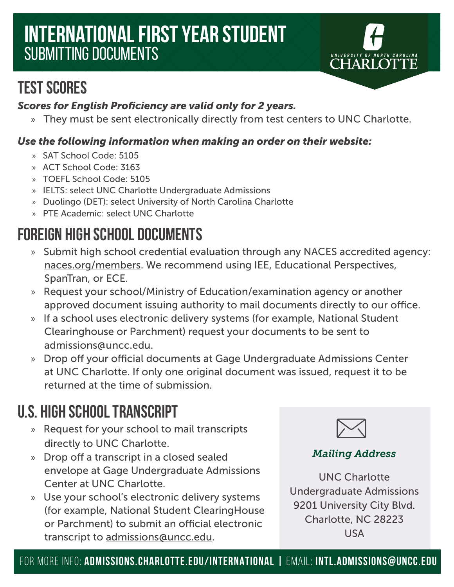# **international first year STUDENT**  submitting documents



## **Test Scores**

## *Scores for English Proficiency are valid only for 2 years.*

» They must be sent electronically directly from test centers to UNC Charlotte.

## *Use the following information when making an order on their website:*

- » SAT School Code: 5105
- » ACT School Code: 3163
- » TOEFL School Code: 5105
- » IELTS: select UNC Charlotte Undergraduate Admissions
- » Duolingo (DET): select University of North Carolina Charlotte
- » PTE Academic: select UNC Charlotte

# **Foreign High School Documents**

- » Submit high school credential evaluation through any NACES accredited agency: naces.org/members. We recommend using IEE, Educational Perspectives, SpanTran, or ECE.
- » Request your school/Ministry of Education/examination agency or another approved document issuing authority to mail documents directly to our office.
- » If a school uses electronic delivery systems (for example, National Student Clearinghouse or Parchment) request your documents to be sent to admissions@uncc.edu.
- » Drop off your official documents at Gage Undergraduate Admissions Center at UNC Charlotte. If only one original document was issued, request it to be returned at the time of submission.

## **U.S. High School Transcript**

- » Request for your school to mail transcripts directly to UNC Charlotte.
- » Drop off a transcript in a closed sealed envelope at Gage Undergraduate Admissions Center at UNC Charlotte.
- » Use your school's electronic delivery systems (for example, National Student ClearingHouse or Parchment) to submit an official electronic transcript to admissions@uncc.edu.



## *Mailing Address*

UNC Charlotte Undergraduate Admissions 9201 University City Blvd. Charlotte, NC 28223 USA

for more info: **ADMISSIONS.CHARLOTTE.EDU/INTERNATIONAL |** email: **intl.admissions@uncc.edu**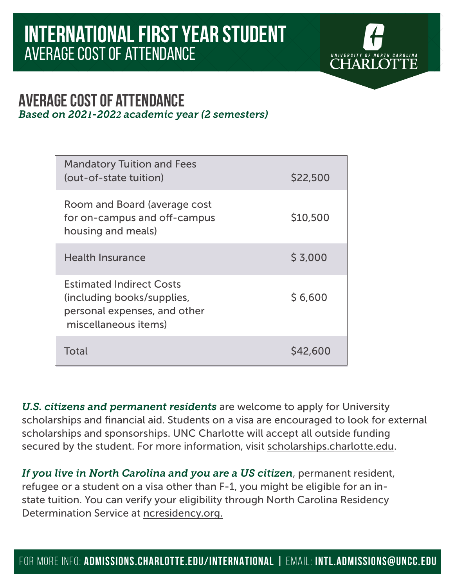

## **average cost of attendance**  *Based on 2021-2022 academic year (2 semesters)*

| <b>Mandatory Tuition and Fees</b><br>(out-of-state tuition)                                                           | \$22,500 |
|-----------------------------------------------------------------------------------------------------------------------|----------|
| Room and Board (average cost<br>for on-campus and off-campus<br>housing and meals)                                    | \$10,500 |
| <b>Health Insurance</b>                                                                                               | \$3,000  |
| <b>Estimated Indirect Costs</b><br>(including books/supplies,<br>personal expenses, and other<br>miscellaneous items) | \$6,600  |
| Total                                                                                                                 | S42,600  |

*U.S. citizens and permanent residents* are welcome to apply for University scholarships and financial aid. Students on a visa are encouraged to look for external scholarships and sponsorships. UNC Charlotte will accept all outside funding secured by the student. For more information, visit scholarships.charlotte.edu.

*If you live in North Carolina and you are a US citizen*, permanent resident, refugee or a student on a visa other than F-1, you might be eligible for an instate tuition. You can verify your eligibility through North Carolina Residency Determination Service at ncresidency.org.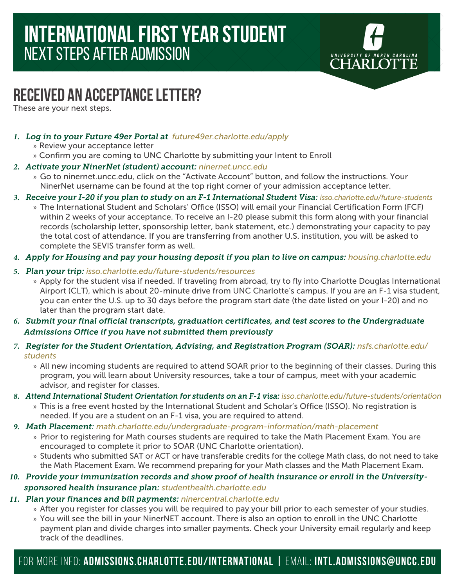

## **RECEIVED AN ACCEPTANCE LETTER?**

These are your next steps.

- *1. Log in to your Future 49er Portal at future49er.charlotte.edu/apply*
	- » Review your acceptance letter
	- » Confirm you are coming to UNC Charlotte by submitting your Intent to Enroll
- *2. Activate your NinerNet (student) account: ninernet.uncc.edu*
	- » Go to ninernet.uncc.edu, click on the "Activate Account" button, and follow the instructions. Your NinerNet username can be found at the top right corner of your admission acceptance letter.
- *3. Receive your I-20 if you plan to study on an F-1 International Student Visa: isso.charlotte.edu/future-students*
	- » The International Student and Scholars' Office (ISSO) will email your Financial Certification Form (FCF) within 2 weeks of your acceptance. To receive an I-20 please submit this form along with your financial records (scholarship letter, sponsorship letter, bank statement, etc.) demonstrating your capacity to pay the total cost of attendance. If you are transferring from another U.S. institution, you will be asked to complete the SEVIS transfer form as well.
- *4. Apply for Housing and pay your housing deposit if you plan to live on campus: housing.charlotte.edu*
- *5. Plan your trip: isso.charlotte.edu/future-students/resources*
	- » Apply for the student visa if needed. If traveling from abroad, try to fly into Charlotte Douglas International Airport (CLT), which is about 20-minute drive from UNC Charlotte's campus. If you are an F-1 visa student, you can enter the U.S. up to 30 days before the program start date (the date listed on your I-20) and no later than the program start date.
- *6. Submit your final official transcripts, graduation certificates, and test scores to the Undergraduate Admissions Office if you have not submitted them previously*
- *7. Register for the Student Orientation, Advising, and Registration Program (SOAR): nsfs.charlotte.edu/ students*
	- » All new incoming students are required to attend SOAR prior to the beginning of their classes. During this program, you will learn about University resources, take a tour of campus, meet with your academic advisor, and register for classes.
- *8. Attend International Student Orientation for students on an F-1 visa: isso.charlotte.edu/future-students/orientation*
	- » This is a free event hosted by the International Student and Scholar's Office (ISSO). No registration is needed. If you are a student on an F-1 visa, you are required to attend.
- *9. Math Placement: math.charlotte.edu/undergraduate-program-information/math-placement*
	- » Prior to registering for Math courses students are required to take the Math Placement Exam. You are encouraged to complete it prior to SOAR (UNC Charlotte orientation).
	- » Students who submitted SAT or ACT or have transferable credits for the college Math class, do not need to take the Math Placement Exam. We recommend preparing for your Math classes and the Math Placement Exam.
- *10. Provide your immunization records and show proof of health insurance or enroll in the Universitysponsored health insurance plan: studenthealth.charlotte.edu*
- *11. Plan your finances and bill payments: ninercentral.charlotte.edu*
	- » After you register for classes you will be required to pay your bill prior to each semester of your studies.
	- » You will see the bill in your NinerNET account. There is also an option to enroll in the UNC Charlotte payment plan and divide charges into smaller payments. Check your University email regularly and keep track of the deadlines.